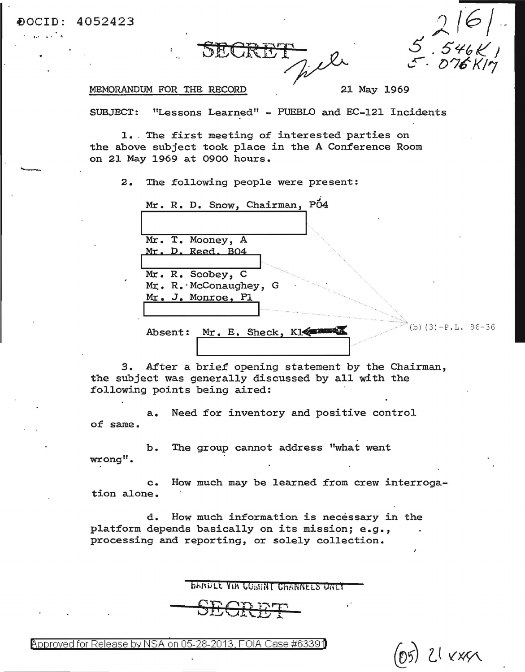SECRET<sub>2</sub>

 $5468$ 

 $(05)$  21  $x \times x \times$ 

## MEMORANDUM FOR THE RECORD 21 May 1969

~OCID:  $\frac{1}{2}$ .

4052423

SUBJECT: "Lessons Learned" - PUEBLO and EC-121 Incidents

1. The first meeting of interested parties on the above subject took place in the A Conference Room on 21 May 1969 at 0900 hours.

2. The following people were present:

| Mr. R. D. Snow, Chairman, PO4                                 |
|---------------------------------------------------------------|
|                                                               |
|                                                               |
| Mr. T. Mooney, A                                              |
| Mr. D. Reed. BO4                                              |
|                                                               |
| Mr. R. Scobey, C                                              |
| $\blacksquare$<br>$Mr$ . R. McConaughey, G                    |
| Mr. J. Monroe, Pl                                             |
|                                                               |
|                                                               |
| $(b)$ (3) $-P.L. 86-36$<br>Mr. E. Sheck, Kleenwood<br>Absent: |
|                                                               |

1

*3.* After a brief opening statement by the Chairman, the subject was generally discussed by all with the following points being aired:

a. Need for inventory and positive control of same.

b. The group cannot address "what went wrong".

c. How much may be learned from crew interrogation alone.

d. How much information is necessary in the platform depends basically on its mission; e.g., processing and reporting, or solely collection.

**BARDLE VIA COBINT CHANNELS ONLY** 

@'pproved for Release by NSA on 05-28-2013. FOIA Case #6339)